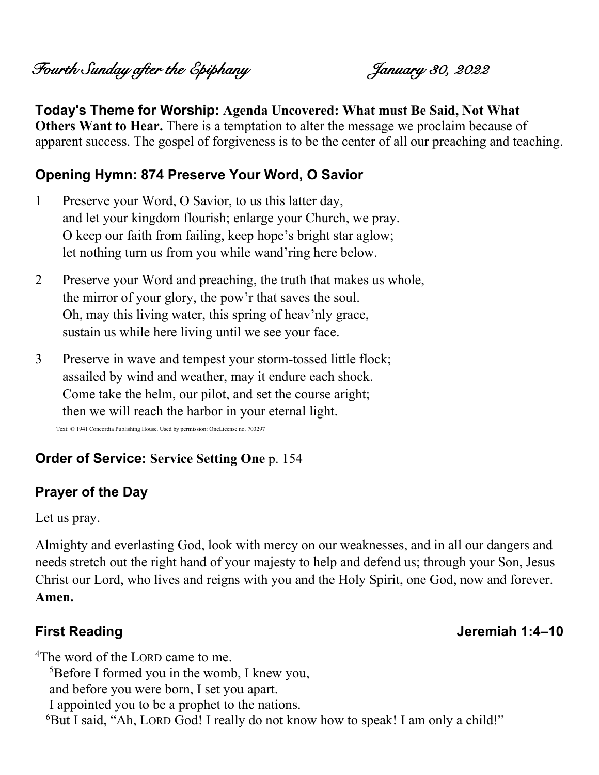Fourth Sunday after the Epiphany January 30, 2022

# **Today's Theme for Worship: Agenda Uncovered: What must Be Said, Not What**

**Others Want to Hear.** There is a temptation to alter the message we proclaim because of apparent success. The gospel of forgiveness is to be the center of all our preaching and teaching.

## **Opening Hymn: 874 Preserve Your Word, O Savior**

- 1 Preserve your Word, O Savior, to us this latter day, and let your kingdom flourish; enlarge your Church, we pray. O keep our faith from failing, keep hope's bright star aglow; let nothing turn us from you while wand'ring here below.
- 2 Preserve your Word and preaching, the truth that makes us whole, the mirror of your glory, the pow'r that saves the soul. Oh, may this living water, this spring of heav'nly grace, sustain us while here living until we see your face.
- 3 Preserve in wave and tempest your storm-tossed little flock; assailed by wind and weather, may it endure each shock. Come take the helm, our pilot, and set the course aright; then we will reach the harbor in your eternal light.

Text: © 1941 Concordia Publishing House. Used by permission: OneLicense no. 703297

## **Order of Service: Service Setting One** p. 154

# **Prayer of the Day**

Let us pray.

Almighty and everlasting God, look with mercy on our weaknesses, and in all our dangers and needs stretch out the right hand of your majesty to help and defend us; through your Son, Jesus Christ our Lord, who lives and reigns with you and the Holy Spirit, one God, now and forever. **Amen.**

#### **First Reading Jeremiah 1:4–10**

<sup>4</sup>The word of the LORD came to me. <sup>5</sup>Before I formed you in the womb, I knew you, and before you were born, I set you apart. I appointed you to be a prophet to the nations. <sup>6</sup>But I said, "Ah, LORD God! I really do not know how to speak! I am only a child!"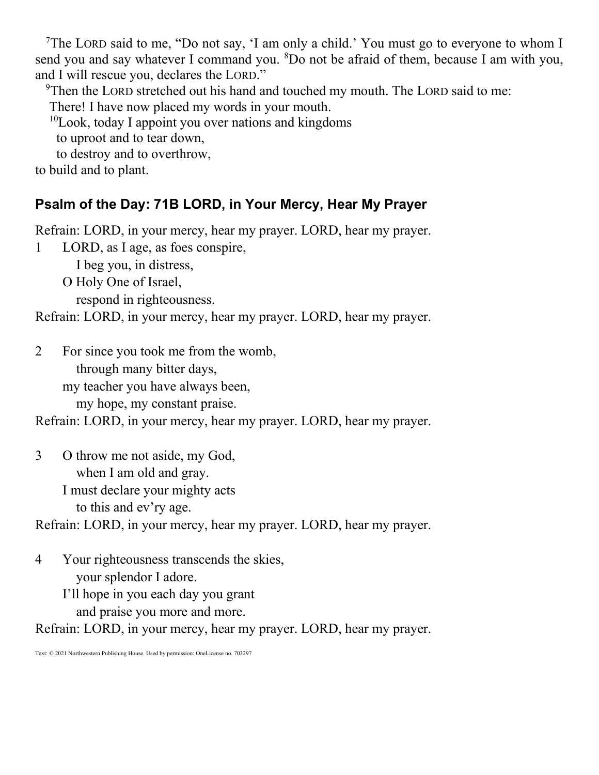<sup>7</sup>The LORD said to me, "Do not say, 'I am only a child.' You must go to everyone to whom I send you and say whatever I command you.  ${}^{8}$ Do not be afraid of them, because I am with you, and I will rescue you, declares the LORD."

<sup>9</sup>Then the LORD stretched out his hand and touched my mouth. The LORD said to me:

There! I have now placed my words in your mouth.

 $10$ Look, today I appoint you over nations and kingdoms

to uproot and to tear down,

to destroy and to overthrow,

to build and to plant.

# **Psalm of the Day: 71B LORD, in Your Mercy, Hear My Prayer**

Refrain: LORD, in your mercy, hear my prayer. LORD, hear my prayer.

1 LORD, as I age, as foes conspire,

I beg you, in distress,

O Holy One of Israel,

respond in righteousness.

Refrain: LORD, in your mercy, hear my prayer. LORD, hear my prayer.

2 For since you took me from the womb,

through many bitter days,

my teacher you have always been,

my hope, my constant praise.

Refrain: LORD, in your mercy, hear my prayer. LORD, hear my prayer.

3 O throw me not aside, my God, when I am old and gray.

I must declare your mighty acts

to this and ev'ry age.

Refrain: LORD, in your mercy, hear my prayer. LORD, hear my prayer.

4 Your righteousness transcends the skies, your splendor I adore.

I'll hope in you each day you grant

and praise you more and more.

Refrain: LORD, in your mercy, hear my prayer. LORD, hear my prayer.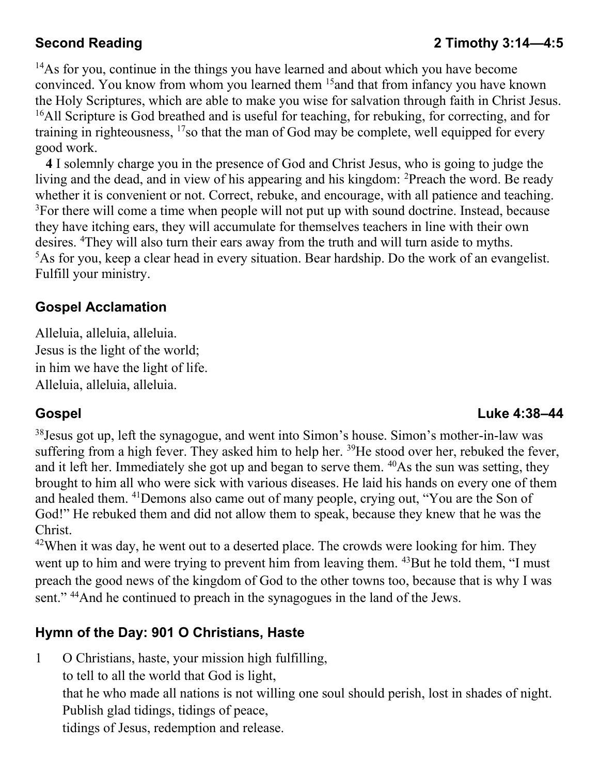## **Second Reading 2 Timothy 3:14—4:5**

<sup>14</sup>As for you, continue in the things you have learned and about which you have become convinced. You know from whom you learned them <sup>15</sup> and that from infancy you have known the Holy Scriptures, which are able to make you wise for salvation through faith in Christ Jesus. <sup>16</sup>All Scripture is God breathed and is useful for teaching, for rebuking, for correcting, and for training in righteousness,  $17$ so that the man of God may be complete, well equipped for every good work.

**4** I solemnly charge you in the presence of God and Christ Jesus, who is going to judge the living and the dead, and in view of his appearing and his kingdom: <sup>2</sup>Preach the word. Be ready whether it is convenient or not. Correct, rebuke, and encourage, with all patience and teaching.  $3$ For there will come a time when people will not put up with sound doctrine. Instead, because they have itching ears, they will accumulate for themselves teachers in line with their own desires. <sup>4</sup>They will also turn their ears away from the truth and will turn aside to myths.  $5$ As for you, keep a clear head in every situation. Bear hardship. Do the work of an evangelist. Fulfill your ministry.

#### **Gospel Acclamation**

Alleluia, alleluia, alleluia. Jesus is the light of the world; in him we have the light of life. Alleluia, alleluia, alleluia.

#### **Gospel Luke 4:38–44**

<sup>38</sup>Jesus got up, left the synagogue, and went into Simon's house. Simon's mother-in-law was suffering from a high fever. They asked him to help her. <sup>39</sup>He stood over her, rebuked the fever, and it left her. Immediately she got up and began to serve them. <sup>40</sup>As the sun was setting, they brought to him all who were sick with various diseases. He laid his hands on every one of them and healed them. <sup>41</sup>Demons also came out of many people, crying out, "You are the Son of God!" He rebuked them and did not allow them to speak, because they knew that he was the Christ.

 $42$ When it was day, he went out to a deserted place. The crowds were looking for him. They went up to him and were trying to prevent him from leaving them. <sup>43</sup>But he told them, "I must preach the good news of the kingdom of God to the other towns too, because that is why I was sent." <sup>44</sup>And he continued to preach in the synagogues in the land of the Jews.

#### **Hymn of the Day: 901 O Christians, Haste**

1 O Christians, haste, your mission high fulfilling,

to tell to all the world that God is light,

that he who made all nations is not willing one soul should perish, lost in shades of night. Publish glad tidings, tidings of peace,

tidings of Jesus, redemption and release.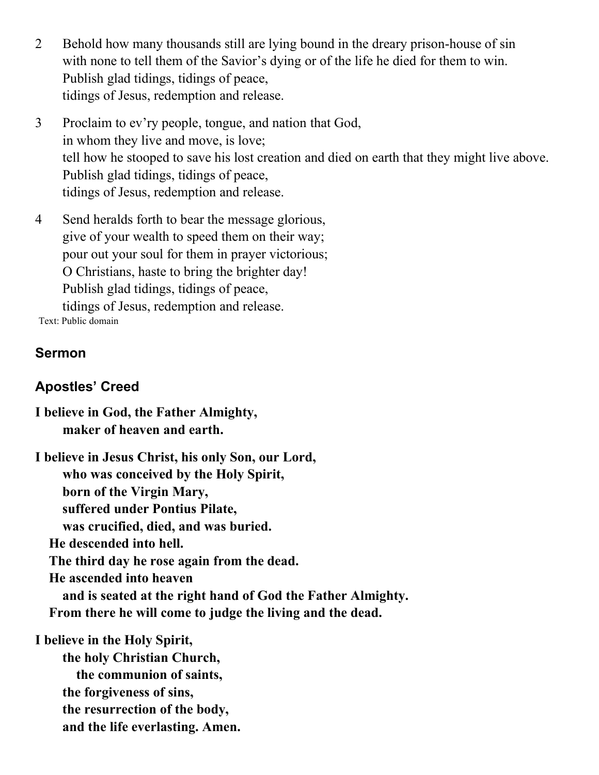- 2 Behold how many thousands still are lying bound in the dreary prison-house of sin with none to tell them of the Savior's dying or of the life he died for them to win. Publish glad tidings, tidings of peace, tidings of Jesus, redemption and release.
- 3 Proclaim to ev'ry people, tongue, and nation that God, in whom they live and move, is love; tell how he stooped to save his lost creation and died on earth that they might live above. Publish glad tidings, tidings of peace, tidings of Jesus, redemption and release.
- 4 Send heralds forth to bear the message glorious, give of your wealth to speed them on their way; pour out your soul for them in prayer victorious; O Christians, haste to bring the brighter day! Publish glad tidings, tidings of peace, tidings of Jesus, redemption and release.

Text: Public domain

## **Sermon**

# **Apostles' Creed**

**I believe in God, the Father Almighty, maker of heaven and earth. I believe in Jesus Christ, his only Son, our Lord, who was conceived by the Holy Spirit, born of the Virgin Mary, suffered under Pontius Pilate, was crucified, died, and was buried. He descended into hell. The third day he rose again from the dead. He ascended into heaven and is seated at the right hand of God the Father Almighty. From there he will come to judge the living and the dead. I believe in the Holy Spirit, the holy Christian Church, the communion of saints, the forgiveness of sins,**

 **the resurrection of the body,** 

 **and the life everlasting. Amen.**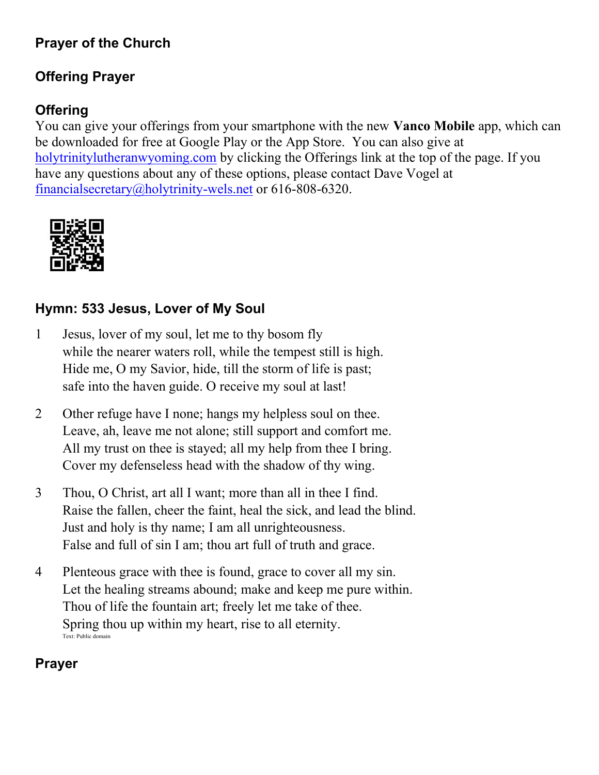# **Prayer of the Church**

# **Offering Prayer**

# **Offering**

You can give your offerings from your smartphone with the new **Vanco Mobile** app, which can be downloaded for free at Google Play or the App Store. You can also give at [holytrinitylutheranwyoming.com](http://holytrinitylutheranwyoming.com/) by clicking the Offerings link at the top of the page. If you have any questions about any of these options, please contact Dave Vogel at [financialsecretary@holytrinity-wels.net](mailto:financialsecretary@holytrinity-wels.net) or 616-808-6320.



## **Hymn: 533 Jesus, Lover of My Soul**

- 1 Jesus, lover of my soul, let me to thy bosom fly while the nearer waters roll, while the tempest still is high. Hide me, O my Savior, hide, till the storm of life is past; safe into the haven guide. O receive my soul at last!
- 2 Other refuge have I none; hangs my helpless soul on thee. Leave, ah, leave me not alone; still support and comfort me. All my trust on thee is stayed; all my help from thee I bring. Cover my defenseless head with the shadow of thy wing.
- 3 Thou, O Christ, art all I want; more than all in thee I find. Raise the fallen, cheer the faint, heal the sick, and lead the blind. Just and holy is thy name; I am all unrighteousness. False and full of sin I am; thou art full of truth and grace.
- 4 Plenteous grace with thee is found, grace to cover all my sin. Let the healing streams abound; make and keep me pure within. Thou of life the fountain art; freely let me take of thee. Spring thou up within my heart, rise to all eternity. Text: Public domain

#### **Prayer**